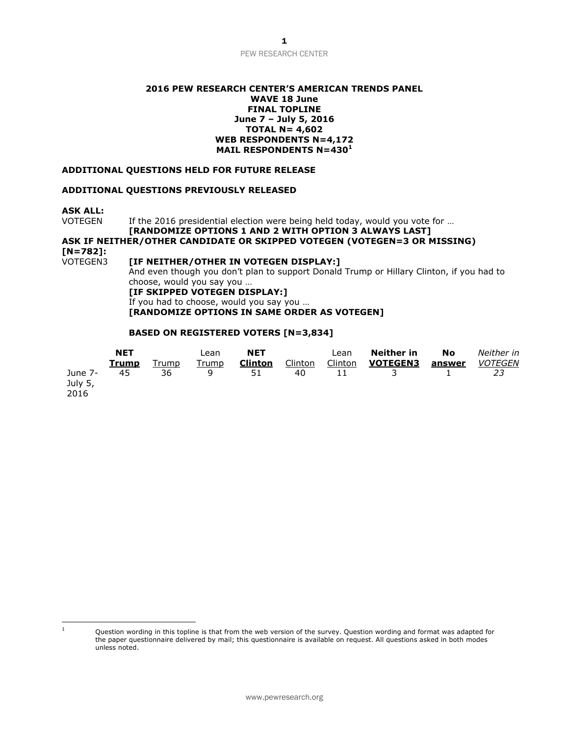# PEW RESEARCH CENTER

#### **2016 PEW RESEARCH CENTER'S AMERICAN TRENDS PANEL WAVE 18 June FINAL TOPLINE June 7 – July 5, 2016 TOTAL N= 4,602 WEB RESPONDENTS N=4,172 MAIL RESPONDENTS N=430<sup>1</sup>**

#### **ADDITIONAL QUESTIONS HELD FOR FUTURE RELEASE**

#### **ADDITIONAL QUESTIONS PREVIOUSLY RELEASED**

**ASK ALL:**

VOTEGEN If the 2016 presidential election were being held today, would you vote for ...

# **[RANDOMIZE OPTIONS 1 AND 2 WITH OPTION 3 ALWAYS LAST] ASK IF NEITHER/OTHER CANDIDATE OR SKIPPED VOTEGEN (VOTEGEN=3 OR MISSING) [N=782]:**

[IF NEITHER/OTHER IN VOTEGEN DISPLAY:] And even though you don't plan to support Donald Trump or Hillary Clinton, if you had to choose, would you say you … **[IF SKIPPED VOTEGEN DISPLAY:]** If you had to choose, would you say you …

**[RANDOMIZE OPTIONS IN SAME ORDER AS VOTEGEN]**

### **BASED ON REGISTERED VOTERS [N=3,834]**

|                    | <b>NET</b><br>Trump | Trump | Lean<br>Trump | <b>NET</b><br><b>Clinton</b> | Clinton | Lean<br>Clinton | Neither in<br><b>VOTEGEN3</b> | No<br>answer | Neither in<br><b>VOTEGEN</b> |
|--------------------|---------------------|-------|---------------|------------------------------|---------|-----------------|-------------------------------|--------------|------------------------------|
| June 7-<br>July 5, | 45                  | 36    | q             | 51                           | 40      | 11              |                               |              |                              |
| 2016               |                     |       |               |                              |         |                 |                               |              |                              |

 $\mathbf 1$ 

Question wording in this topline is that from the web version of the survey. Question wording and format was adapted for the paper questionnaire delivered by mail; this questionnaire is available on request. All questions asked in both modes unless noted.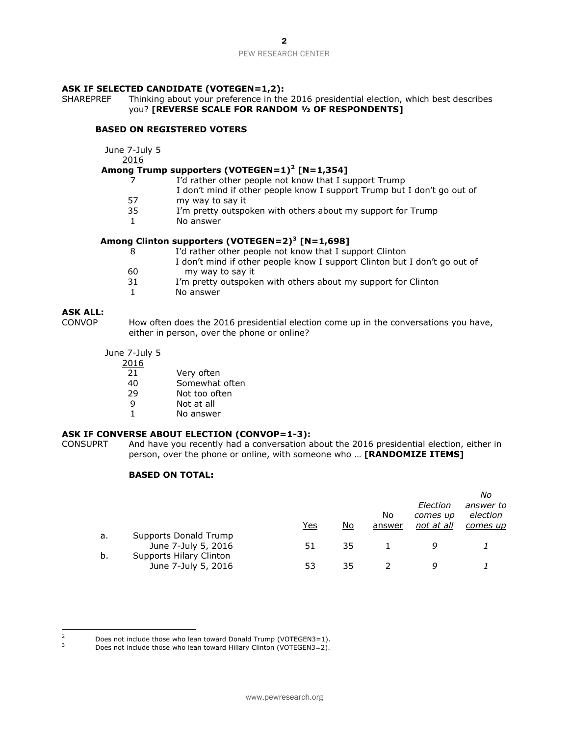#### PEW RESEARCH CENTER

#### **ASK IF SELECTED CANDIDATE (VOTEGEN=1,2):**

SHAREPREF Thinking about your preference in the 2016 presidential election, which best describes you? **[REVERSE SCALE FOR RANDOM ½ OF RESPONDENTS]**

#### **BASED ON REGISTERED VOTERS**

June 7-July 5

2016

#### **Among Trump supporters (VOTEGEN=1) 2 [N=1,354]**

- 7 I'd rather other people not know that I support Trump
	- I don't mind if other people know I support Trump but I don't go out of
- 57 my way to say it
- 35 I'm pretty outspoken with others about my support for Trump
- 1 No answer

#### **Among Clinton supporters (VOTEGEN=2)<sup>3</sup> [N=1,698]**

- 8 I'd rather other people not know that I support Clinton 60 I don't mind if other people know I support Clinton but I don't go out of my way to say it 31 I'm pretty outspoken with others about my support for Clinton
- 1 No answer

# **ASK ALL:**

How often does the 2016 presidential election come up in the conversations you have, either in person, over the phone or online?

- June 7-July 5
	- 2016
		- 21 Very often
		- 40 Somewhat often
		- 29 Not too often
		- 9 Not at all
		- 1 No answer

### **ASK IF CONVERSE ABOUT ELECTION (CONVOP=1-3):**

CONSUPRT And have you recently had a conversation about the 2016 presidential election, either in person, over the phone or online, with someone who … **[RANDOMIZE ITEMS]**

## **BASED ON TOTAL:**

|    |                         |     |    |        |            | Νo        |
|----|-------------------------|-----|----|--------|------------|-----------|
|    |                         |     |    |        | Election   | answer to |
|    |                         |     |    | No     | comes up   | election  |
|    |                         | Yes | No | answer | not at all | comes up  |
| a. | Supports Donald Trump   |     |    |        |            |           |
|    | June 7-July 5, 2016     | 51  | 35 |        | q          |           |
| b. | Supports Hilary Clinton |     |    |        |            |           |
|    | June 7-July 5, 2016     | 53  | 35 |        | a          |           |

 $\overline{z}$  $\frac{2}{3}$  Does not include those who lean toward Donald Trump (VOTEGEN3=1).

Does not include those who lean toward Hillary Clinton (VOTEGEN3=2).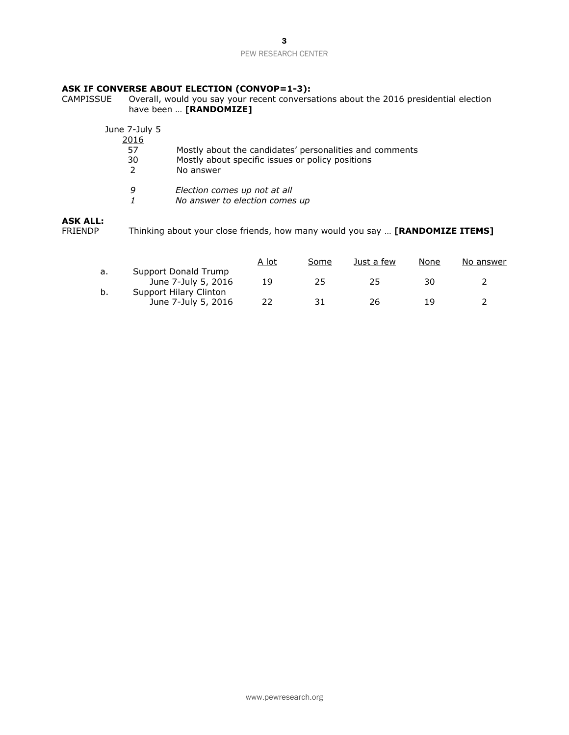3

### PEW RESEARCH CENTER

# **ASK IF CONVERSE ABOUT ELECTION (CONVOP=1-3):**<br>CAMPISSUE Overall, would you say your recent conversal

CAMPISSUE Overall, would you say your recent conversations about the 2016 presidential election have been … **[RANDOMIZE]**

| June 7-July 5<br>2016<br>57<br>30<br>$\mathcal{P}$ | Mostly about the candidates' personalities and comments<br>Mostly about specific issues or policy positions<br>No answer |
|----------------------------------------------------|--------------------------------------------------------------------------------------------------------------------------|
| 9                                                  | Election comes up not at all<br>No answer to election comes up                                                           |

# **ASK ALL:**

FRIENDP Thinking about your close friends, how many would you say … **[RANDOMIZE ITEMS]**

|    |                                               | A lot | Some | Just a few | None | No answer |
|----|-----------------------------------------------|-------|------|------------|------|-----------|
| а. | Support Donald Trump<br>June 7-July 5, 2016   | 19    | 25   | 25         | 30   |           |
| b. | Support Hilary Clinton<br>June 7-July 5, 2016 | 22    | 31   | 26         | 1 Q  |           |